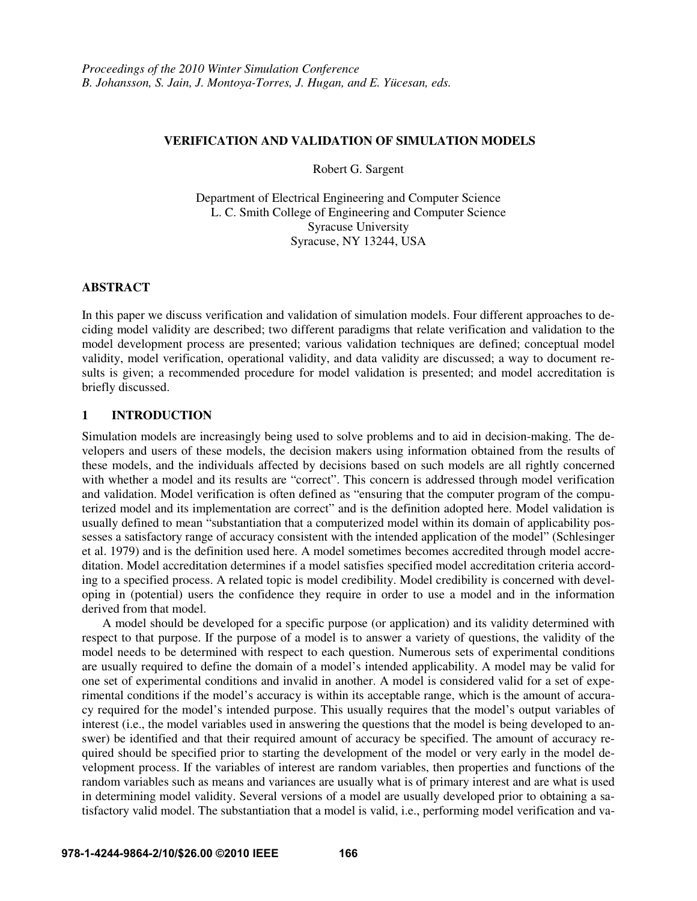## **VERIFICATION AND VALIDATION OF SIMULATION MODELS**

Robert G. Sargent

Department of Electrical Engineering and Computer Science L. C. Smith College of Engineering and Computer Science Syracuse University Syracuse, NY 13244, USA

## **ABSTRACT**

In this paper we discuss verification and validation of simulation models. Four different approaches to deciding model validity are described; two different paradigms that relate verification and validation to the model development process are presented; various validation techniques are defined; conceptual model validity, model verification, operational validity, and data validity are discussed; a way to document results is given; a recommended procedure for model validation is presented; and model accreditation is briefly discussed.

# **1 INTRODUCTION**

Simulation models are increasingly being used to solve problems and to aid in decision-making. The developers and users of these models, the decision makers using information obtained from the results of these models, and the individuals affected by decisions based on such models are all rightly concerned with whether a model and its results are "correct". This concern is addressed through model verification and validation. Model verification is often defined as "ensuring that the computer program of the computerized model and its implementation are correct" and is the definition adopted here. Model validation is usually defined to mean "substantiation that a computerized model within its domain of applicability possesses a satisfactory range of accuracy consistent with the intended application of the model" (Schlesinger et al. 1979) and is the definition used here. A model sometimes becomes accredited through model accreditation. Model accreditation determines if a model satisfies specified model accreditation criteria according to a specified process. A related topic is model credibility. Model credibility is concerned with developing in (potential) users the confidence they require in order to use a model and in the information derived from that model.

 A model should be developed for a specific purpose (or application) and its validity determined with respect to that purpose. If the purpose of a model is to answer a variety of questions, the validity of the model needs to be determined with respect to each question. Numerous sets of experimental conditions are usually required to define the domain of a model's intended applicability. A model may be valid for one set of experimental conditions and invalid in another. A model is considered valid for a set of experimental conditions if the model's accuracy is within its acceptable range, which is the amount of accuracy required for the model's intended purpose. This usually requires that the model's output variables of interest (i.e., the model variables used in answering the questions that the model is being developed to answer) be identified and that their required amount of accuracy be specified. The amount of accuracy required should be specified prior to starting the development of the model or very early in the model development process. If the variables of interest are random variables, then properties and functions of the random variables such as means and variances are usually what is of primary interest and are what is used in determining model validity. Several versions of a model are usually developed prior to obtaining a satisfactory valid model. The substantiation that a model is valid, i.e., performing model verification and va-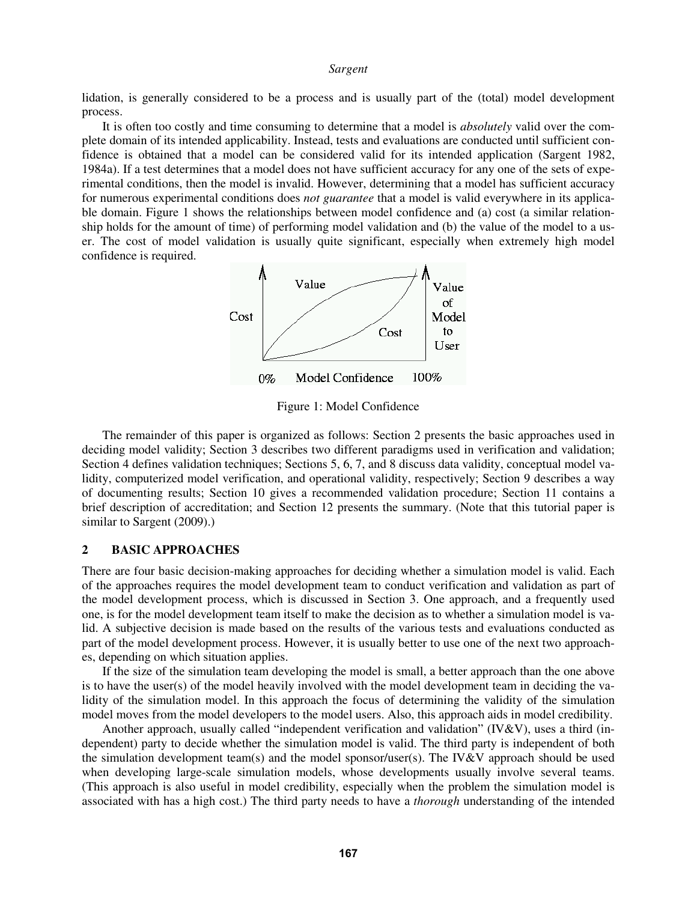lidation, is generally considered to be a process and is usually part of the (total) model development process.

It is often too costly and time consuming to determine that a model is *absolutely* valid over the complete domain of its intended applicability. Instead, tests and evaluations are conducted until sufficient confidence is obtained that a model can be considered valid for its intended application (Sargent 1982, 1984a). If a test determines that a model does not have sufficient accuracy for any one of the sets of experimental conditions, then the model is invalid. However, determining that a model has sufficient accuracy for numerous experimental conditions does *not guarantee* that a model is valid everywhere in its applicable domain. Figure 1 shows the relationships between model confidence and (a) cost (a similar relationship holds for the amount of time) of performing model validation and (b) the value of the model to a user. The cost of model validation is usually quite significant, especially when extremely high model confidence is required.



Figure 1: Model Confidence

The remainder of this paper is organized as follows: Section 2 presents the basic approaches used in deciding model validity; Section 3 describes two different paradigms used in verification and validation; Section 4 defines validation techniques; Sections 5, 6, 7, and 8 discuss data validity, conceptual model validity, computerized model verification, and operational validity, respectively; Section 9 describes a way of documenting results; Section 10 gives a recommended validation procedure; Section 11 contains a brief description of accreditation; and Section 12 presents the summary. (Note that this tutorial paper is similar to Sargent (2009).)

#### **2 BASIC APPROACHES**

There are four basic decision-making approaches for deciding whether a simulation model is valid. Each of the approaches requires the model development team to conduct verification and validation as part of the model development process, which is discussed in Section 3. One approach, and a frequently used one, is for the model development team itself to make the decision as to whether a simulation model is valid. A subjective decision is made based on the results of the various tests and evaluations conducted as part of the model development process. However, it is usually better to use one of the next two approaches, depending on which situation applies.

 If the size of the simulation team developing the model is small, a better approach than the one above is to have the user(s) of the model heavily involved with the model development team in deciding the validity of the simulation model. In this approach the focus of determining the validity of the simulation model moves from the model developers to the model users. Also, this approach aids in model credibility.

Another approach, usually called "independent verification and validation" ( $\Gamma$ V&V), uses a third (independent) party to decide whether the simulation model is valid. The third party is independent of both the simulation development team(s) and the model sponsor/user(s). The IV&V approach should be used when developing large-scale simulation models, whose developments usually involve several teams. (This approach is also useful in model credibility, especially when the problem the simulation model is associated with has a high cost.) The third party needs to have a *thorough* understanding of the intended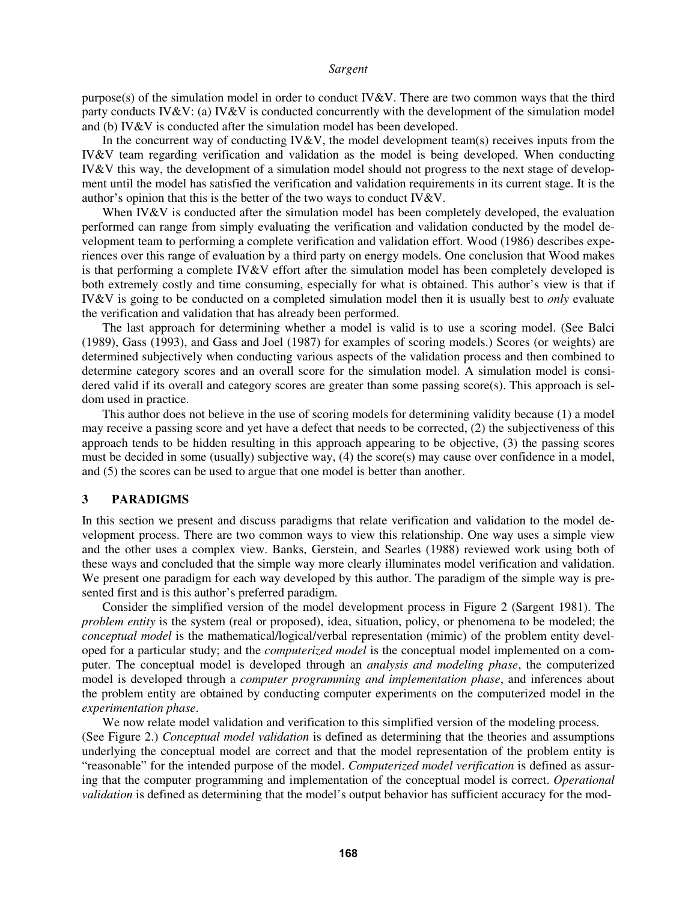purpose(s) of the simulation model in order to conduct IV&V. There are two common ways that the third party conducts IV&V: (a) IV&V is conducted concurrently with the development of the simulation model and (b) IV&V is conducted after the simulation model has been developed.

In the concurrent way of conducting  $IV&V$ , the model development team(s) receives inputs from the IV&V team regarding verification and validation as the model is being developed. When conducting IV&V this way, the development of a simulation model should not progress to the next stage of development until the model has satisfied the verification and validation requirements in its current stage. It is the author's opinion that this is the better of the two ways to conduct IV&V.

When IV&V is conducted after the simulation model has been completely developed, the evaluation performed can range from simply evaluating the verification and validation conducted by the model development team to performing a complete verification and validation effort. Wood (1986) describes experiences over this range of evaluation by a third party on energy models. One conclusion that Wood makes is that performing a complete IV&V effort after the simulation model has been completely developed is both extremely costly and time consuming, especially for what is obtained. This author's view is that if IV&V is going to be conducted on a completed simulation model then it is usually best to *only* evaluate the verification and validation that has already been performed.

 The last approach for determining whether a model is valid is to use a scoring model. (See Balci (1989), Gass (1993), and Gass and Joel (1987) for examples of scoring models.) Scores (or weights) are determined subjectively when conducting various aspects of the validation process and then combined to determine category scores and an overall score for the simulation model. A simulation model is considered valid if its overall and category scores are greater than some passing score(s). This approach is seldom used in practice.

 This author does not believe in the use of scoring models for determining validity because (1) a model may receive a passing score and yet have a defect that needs to be corrected, (2) the subjectiveness of this approach tends to be hidden resulting in this approach appearing to be objective, (3) the passing scores must be decided in some (usually) subjective way, (4) the score(s) may cause over confidence in a model, and (5) the scores can be used to argue that one model is better than another.

### **3 PARADIGMS**

In this section we present and discuss paradigms that relate verification and validation to the model development process. There are two common ways to view this relationship. One way uses a simple view and the other uses a complex view. Banks, Gerstein, and Searles (1988) reviewed work using both of these ways and concluded that the simple way more clearly illuminates model verification and validation. We present one paradigm for each way developed by this author. The paradigm of the simple way is presented first and is this author's preferred paradigm.

 Consider the simplified version of the model development process in Figure 2 (Sargent 1981). The *problem entity* is the system (real or proposed), idea, situation, policy, or phenomena to be modeled; the *conceptual model* is the mathematical/logical/verbal representation (mimic) of the problem entity developed for a particular study; and the *computerized model* is the conceptual model implemented on a computer. The conceptual model is developed through an *analysis and modeling phase*, the computerized model is developed through a *computer programming and implementation phase*, and inferences about the problem entity are obtained by conducting computer experiments on the computerized model in the *experimentation phase*.

We now relate model validation and verification to this simplified version of the modeling process. (See Figure 2.) *Conceptual model validation* is defined as determining that the theories and assumptions underlying the conceptual model are correct and that the model representation of the problem entity is "reasonable" for the intended purpose of the model. *Computerized model verification* is defined as assuring that the computer programming and implementation of the conceptual model is correct. *Operational validation* is defined as determining that the model's output behavior has sufficient accuracy for the mod-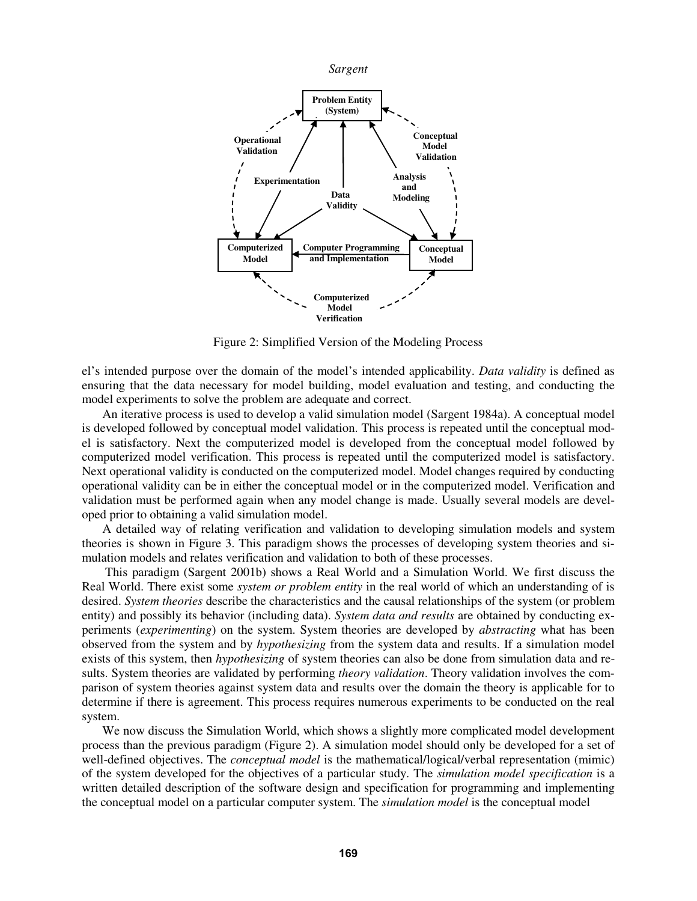



Figure 2: Simplified Version of the Modeling Process

el's intended purpose over the domain of the model's intended applicability. *Data validity* is defined as ensuring that the data necessary for model building, model evaluation and testing, and conducting the model experiments to solve the problem are adequate and correct.

An iterative process is used to develop a valid simulation model (Sargent 1984a). A conceptual model is developed followed by conceptual model validation. This process is repeated until the conceptual model is satisfactory. Next the computerized model is developed from the conceptual model followed by computerized model verification. This process is repeated until the computerized model is satisfactory. Next operational validity is conducted on the computerized model. Model changes required by conducting operational validity can be in either the conceptual model or in the computerized model. Verification and validation must be performed again when any model change is made. Usually several models are developed prior to obtaining a valid simulation model.

 A detailed way of relating verification and validation to developing simulation models and system theories is shown in Figure 3. This paradigm shows the processes of developing system theories and simulation models and relates verification and validation to both of these processes.

 This paradigm (Sargent 2001b) shows a Real World and a Simulation World. We first discuss the Real World. There exist some *system or problem entity* in the real world of which an understanding of is desired. *System theories* describe the characteristics and the causal relationships of the system (or problem entity) and possibly its behavior (including data). *System data and results* are obtained by conducting experiments (*experimenting*) on the system. System theories are developed by *abstracting* what has been observed from the system and by *hypothesizing* from the system data and results. If a simulation model exists of this system, then *hypothesizing* of system theories can also be done from simulation data and results. System theories are validated by performing *theory validation*. Theory validation involves the comparison of system theories against system data and results over the domain the theory is applicable for to determine if there is agreement. This process requires numerous experiments to be conducted on the real system.

We now discuss the Simulation World, which shows a slightly more complicated model development process than the previous paradigm (Figure 2). A simulation model should only be developed for a set of well-defined objectives. The *conceptual model* is the mathematical/logical/verbal representation (mimic) of the system developed for the objectives of a particular study. The *simulation model specification* is a written detailed description of the software design and specification for programming and implementing the conceptual model on a particular computer system. The *simulation model* is the conceptual model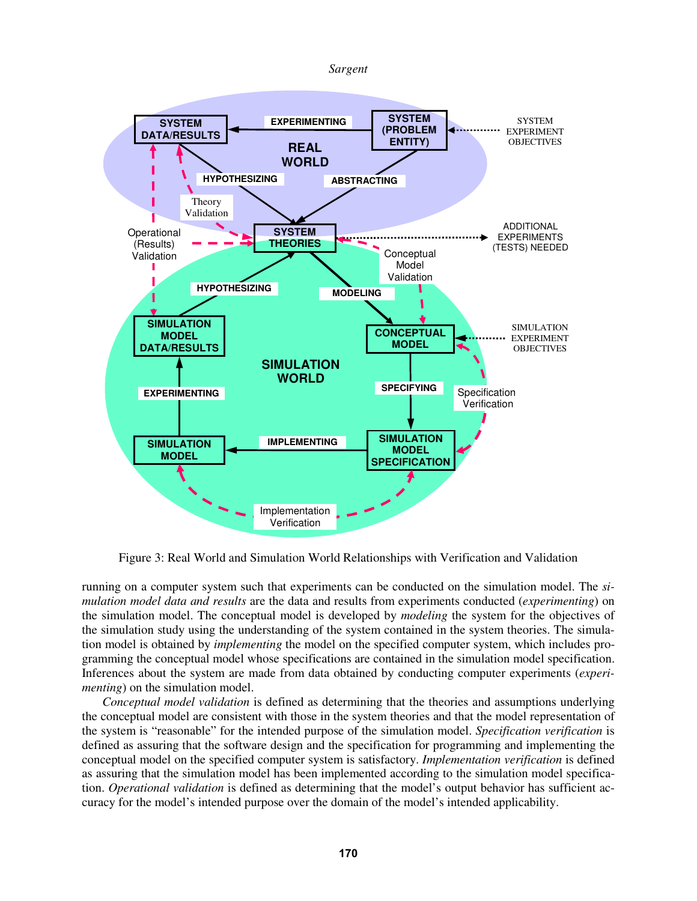

Figure 3: Real World and Simulation World Relationships with Verification and Validation

running on a computer system such that experiments can be conducted on the simulation model. The *simulation model data and results* are the data and results from experiments conducted (*experimenting*) on the simulation model. The conceptual model is developed by *modeling* the system for the objectives of the simulation study using the understanding of the system contained in the system theories. The simulation model is obtained by *implementing* the model on the specified computer system, which includes programming the conceptual model whose specifications are contained in the simulation model specification. Inferences about the system are made from data obtained by conducting computer experiments (*experimenting*) on the simulation model.

*Conceptual model validation* is defined as determining that the theories and assumptions underlying the conceptual model are consistent with those in the system theories and that the model representation of the system is "reasonable" for the intended purpose of the simulation model. *Specification verification* is defined as assuring that the software design and the specification for programming and implementing the conceptual model on the specified computer system is satisfactory. *Implementation verification* is defined as assuring that the simulation model has been implemented according to the simulation model specification. *Operational validation* is defined as determining that the model's output behavior has sufficient accuracy for the model's intended purpose over the domain of the model's intended applicability.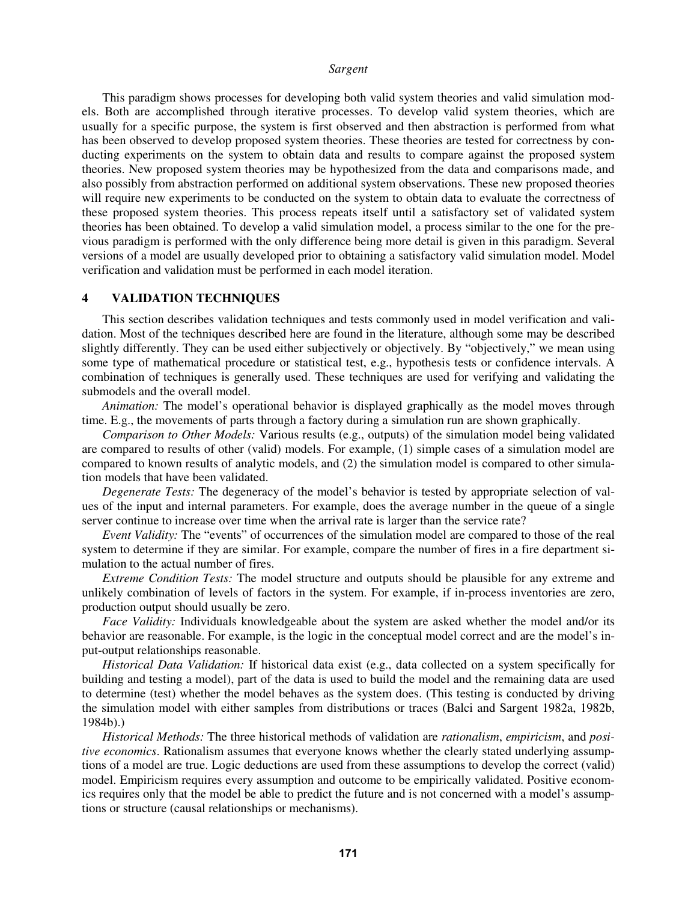This paradigm shows processes for developing both valid system theories and valid simulation models. Both are accomplished through iterative processes. To develop valid system theories, which are usually for a specific purpose, the system is first observed and then abstraction is performed from what has been observed to develop proposed system theories. These theories are tested for correctness by conducting experiments on the system to obtain data and results to compare against the proposed system theories. New proposed system theories may be hypothesized from the data and comparisons made, and also possibly from abstraction performed on additional system observations. These new proposed theories will require new experiments to be conducted on the system to obtain data to evaluate the correctness of these proposed system theories. This process repeats itself until a satisfactory set of validated system theories has been obtained. To develop a valid simulation model, a process similar to the one for the previous paradigm is performed with the only difference being more detail is given in this paradigm. Several versions of a model are usually developed prior to obtaining a satisfactory valid simulation model. Model verification and validation must be performed in each model iteration.

#### **4 VALIDATION TECHNIQUES**

This section describes validation techniques and tests commonly used in model verification and validation. Most of the techniques described here are found in the literature, although some may be described slightly differently. They can be used either subjectively or objectively. By "objectively," we mean using some type of mathematical procedure or statistical test, e.g., hypothesis tests or confidence intervals. A combination of techniques is generally used. These techniques are used for verifying and validating the submodels and the overall model.

 *Animation:* The model's operational behavior is displayed graphically as the model moves through time. E.g., the movements of parts through a factory during a simulation run are shown graphically.

 *Comparison to Other Models:* Various results (e.g., outputs) of the simulation model being validated are compared to results of other (valid) models. For example, (1) simple cases of a simulation model are compared to known results of analytic models, and (2) the simulation model is compared to other simulation models that have been validated.

 *Degenerate Tests:* The degeneracy of the model's behavior is tested by appropriate selection of values of the input and internal parameters. For example, does the average number in the queue of a single server continue to increase over time when the arrival rate is larger than the service rate?

 *Event Validity:* The "events" of occurrences of the simulation model are compared to those of the real system to determine if they are similar. For example, compare the number of fires in a fire department simulation to the actual number of fires.

 *Extreme Condition Tests:* The model structure and outputs should be plausible for any extreme and unlikely combination of levels of factors in the system. For example, if in-process inventories are zero, production output should usually be zero.

 *Face Validity:* Individuals knowledgeable about the system are asked whether the model and/or its behavior are reasonable. For example, is the logic in the conceptual model correct and are the model's input-output relationships reasonable.

 *Historical Data Validation:* If historical data exist (e.g., data collected on a system specifically for building and testing a model), part of the data is used to build the model and the remaining data are used to determine (test) whether the model behaves as the system does. (This testing is conducted by driving the simulation model with either samples from distributions or traces (Balci and Sargent 1982a, 1982b, 1984b).)

 *Historical Methods:* The three historical methods of validation are *rationalism*, *empiricism*, and *positive economics*. Rationalism assumes that everyone knows whether the clearly stated underlying assumptions of a model are true. Logic deductions are used from these assumptions to develop the correct (valid) model. Empiricism requires every assumption and outcome to be empirically validated. Positive economics requires only that the model be able to predict the future and is not concerned with a model's assumptions or structure (causal relationships or mechanisms).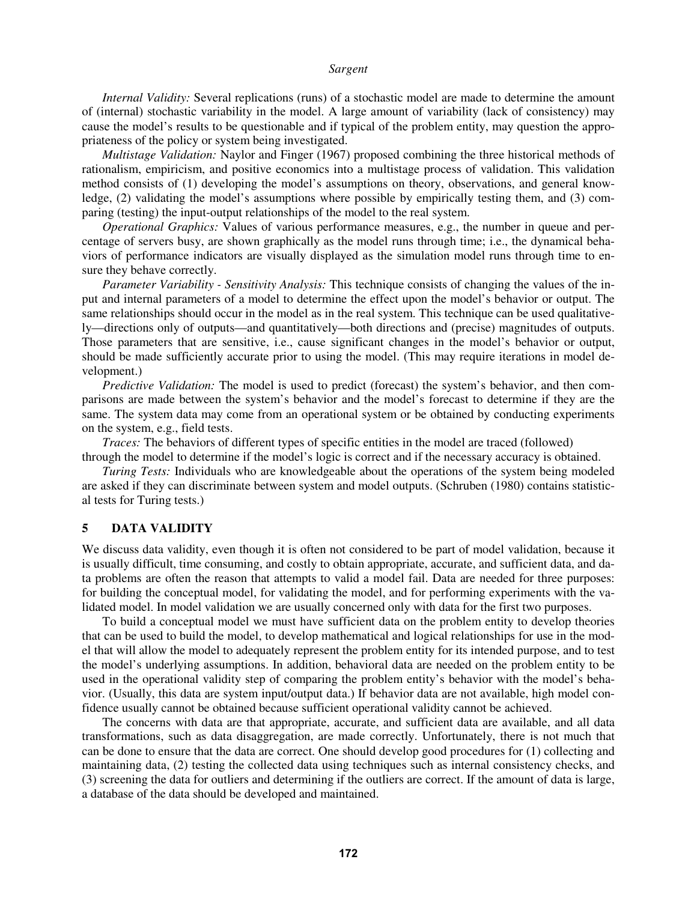*Internal Validity:* Several replications (runs) of a stochastic model are made to determine the amount of (internal) stochastic variability in the model. A large amount of variability (lack of consistency) may cause the model's results to be questionable and if typical of the problem entity, may question the appropriateness of the policy or system being investigated.

 *Multistage Validation:* Naylor and Finger (1967) proposed combining the three historical methods of rationalism, empiricism, and positive economics into a multistage process of validation. This validation method consists of (1) developing the model's assumptions on theory, observations, and general knowledge, (2) validating the model's assumptions where possible by empirically testing them, and (3) comparing (testing) the input-output relationships of the model to the real system.

 *Operational Graphics:* Values of various performance measures, e.g., the number in queue and percentage of servers busy, are shown graphically as the model runs through time; i.e., the dynamical behaviors of performance indicators are visually displayed as the simulation model runs through time to ensure they behave correctly.

 *Parameter Variability - Sensitivity Analysis:* This technique consists of changing the values of the input and internal parameters of a model to determine the effect upon the model's behavior or output. The same relationships should occur in the model as in the real system. This technique can be used qualitatively—directions only of outputs—and quantitatively—both directions and (precise) magnitudes of outputs. Those parameters that are sensitive, i.e., cause significant changes in the model's behavior or output, should be made sufficiently accurate prior to using the model. (This may require iterations in model development.)

 *Predictive Validation:* The model is used to predict (forecast) the system's behavior, and then comparisons are made between the system's behavior and the model's forecast to determine if they are the same. The system data may come from an operational system or be obtained by conducting experiments on the system, e.g., field tests.

 *Traces:* The behaviors of different types of specific entities in the model are traced (followed) through the model to determine if the model's logic is correct and if the necessary accuracy is obtained.

*Turing Tests:* Individuals who are knowledgeable about the operations of the system being modeled are asked if they can discriminate between system and model outputs. (Schruben (1980) contains statistical tests for Turing tests.)

## **5 DATA VALIDITY**

We discuss data validity, even though it is often not considered to be part of model validation, because it is usually difficult, time consuming, and costly to obtain appropriate, accurate, and sufficient data, and data problems are often the reason that attempts to valid a model fail. Data are needed for three purposes: for building the conceptual model, for validating the model, and for performing experiments with the validated model. In model validation we are usually concerned only with data for the first two purposes.

To build a conceptual model we must have sufficient data on the problem entity to develop theories that can be used to build the model, to develop mathematical and logical relationships for use in the model that will allow the model to adequately represent the problem entity for its intended purpose, and to test the model's underlying assumptions. In addition, behavioral data are needed on the problem entity to be used in the operational validity step of comparing the problem entity's behavior with the model's behavior. (Usually, this data are system input/output data.) If behavior data are not available, high model confidence usually cannot be obtained because sufficient operational validity cannot be achieved.

 The concerns with data are that appropriate, accurate, and sufficient data are available, and all data transformations, such as data disaggregation, are made correctly. Unfortunately, there is not much that can be done to ensure that the data are correct. One should develop good procedures for (1) collecting and maintaining data, (2) testing the collected data using techniques such as internal consistency checks, and (3) screening the data for outliers and determining if the outliers are correct. If the amount of data is large, a database of the data should be developed and maintained.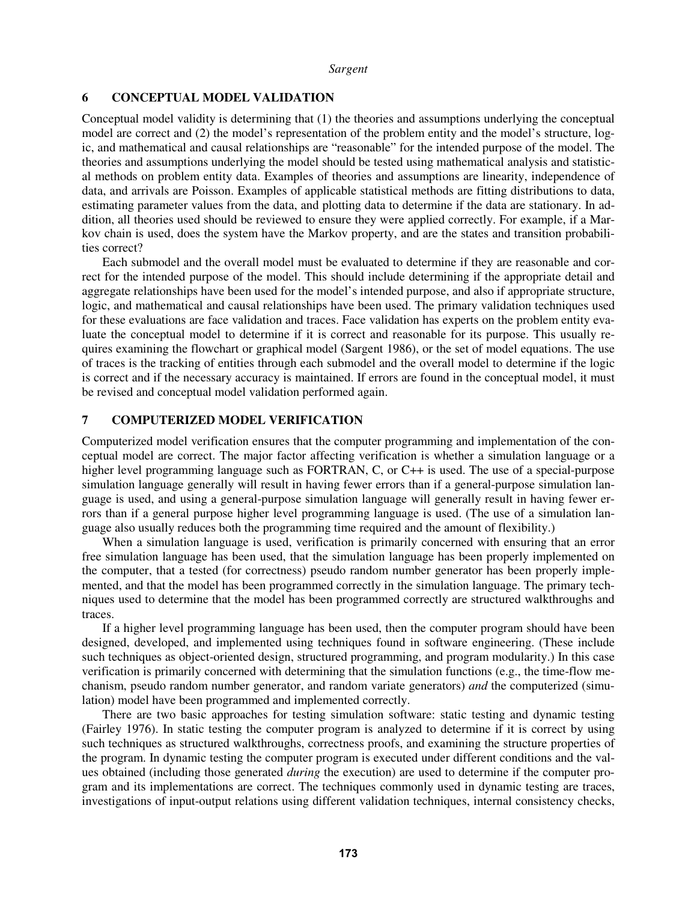### **6 CONCEPTUAL MODEL VALIDATION**

Conceptual model validity is determining that (1) the theories and assumptions underlying the conceptual model are correct and (2) the model's representation of the problem entity and the model's structure, logic, and mathematical and causal relationships are "reasonable" for the intended purpose of the model. The theories and assumptions underlying the model should be tested using mathematical analysis and statistical methods on problem entity data. Examples of theories and assumptions are linearity, independence of data, and arrivals are Poisson. Examples of applicable statistical methods are fitting distributions to data, estimating parameter values from the data, and plotting data to determine if the data are stationary. In addition, all theories used should be reviewed to ensure they were applied correctly. For example, if a Markov chain is used, does the system have the Markov property, and are the states and transition probabilities correct?

Each submodel and the overall model must be evaluated to determine if they are reasonable and correct for the intended purpose of the model. This should include determining if the appropriate detail and aggregate relationships have been used for the model's intended purpose, and also if appropriate structure, logic, and mathematical and causal relationships have been used. The primary validation techniques used for these evaluations are face validation and traces. Face validation has experts on the problem entity evaluate the conceptual model to determine if it is correct and reasonable for its purpose. This usually requires examining the flowchart or graphical model (Sargent 1986), or the set of model equations. The use of traces is the tracking of entities through each submodel and the overall model to determine if the logic is correct and if the necessary accuracy is maintained. If errors are found in the conceptual model, it must be revised and conceptual model validation performed again.

## **7 COMPUTERIZED MODEL VERIFICATION**

Computerized model verification ensures that the computer programming and implementation of the conceptual model are correct. The major factor affecting verification is whether a simulation language or a higher level programming language such as FORTRAN, C, or C++ is used. The use of a special-purpose simulation language generally will result in having fewer errors than if a general-purpose simulation language is used, and using a general-purpose simulation language will generally result in having fewer errors than if a general purpose higher level programming language is used. (The use of a simulation language also usually reduces both the programming time required and the amount of flexibility.)

 When a simulation language is used, verification is primarily concerned with ensuring that an error free simulation language has been used, that the simulation language has been properly implemented on the computer, that a tested (for correctness) pseudo random number generator has been properly implemented, and that the model has been programmed correctly in the simulation language. The primary techniques used to determine that the model has been programmed correctly are structured walkthroughs and traces.

If a higher level programming language has been used, then the computer program should have been designed, developed, and implemented using techniques found in software engineering. (These include such techniques as object-oriented design, structured programming, and program modularity.) In this case verification is primarily concerned with determining that the simulation functions (e.g., the time-flow mechanism, pseudo random number generator, and random variate generators) *and* the computerized (simulation) model have been programmed and implemented correctly.

There are two basic approaches for testing simulation software: static testing and dynamic testing (Fairley 1976). In static testing the computer program is analyzed to determine if it is correct by using such techniques as structured walkthroughs, correctness proofs, and examining the structure properties of the program. In dynamic testing the computer program is executed under different conditions and the values obtained (including those generated *during* the execution) are used to determine if the computer program and its implementations are correct. The techniques commonly used in dynamic testing are traces, investigations of input-output relations using different validation techniques, internal consistency checks,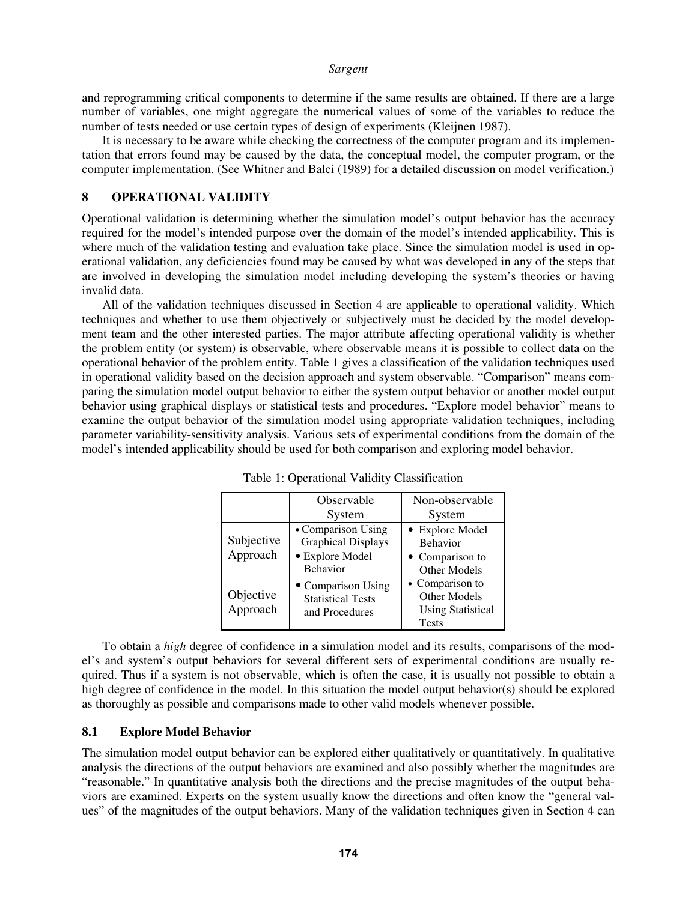and reprogramming critical components to determine if the same results are obtained. If there are a large number of variables, one might aggregate the numerical values of some of the variables to reduce the number of tests needed or use certain types of design of experiments (Kleijnen 1987).

 It is necessary to be aware while checking the correctness of the computer program and its implementation that errors found may be caused by the data, the conceptual model, the computer program, or the computer implementation. (See Whitner and Balci (1989) for a detailed discussion on model verification.)

### **8 OPERATIONAL VALIDITY**

Operational validation is determining whether the simulation model's output behavior has the accuracy required for the model's intended purpose over the domain of the model's intended applicability. This is where much of the validation testing and evaluation take place. Since the simulation model is used in operational validation, any deficiencies found may be caused by what was developed in any of the steps that are involved in developing the simulation model including developing the system's theories or having invalid data.

 All of the validation techniques discussed in Section 4 are applicable to operational validity. Which techniques and whether to use them objectively or subjectively must be decided by the model development team and the other interested parties. The major attribute affecting operational validity is whether the problem entity (or system) is observable, where observable means it is possible to collect data on the operational behavior of the problem entity. Table 1 gives a classification of the validation techniques used in operational validity based on the decision approach and system observable. "Comparison" means comparing the simulation model output behavior to either the system output behavior or another model output behavior using graphical displays or statistical tests and procedures. "Explore model behavior" means to examine the output behavior of the simulation model using appropriate validation techniques, including parameter variability-sensitivity analysis. Various sets of experimental conditions from the domain of the model's intended applicability should be used for both comparison and exploring model behavior.

|                        | Observable                                                                            | Non-observable                                                                     |  |
|------------------------|---------------------------------------------------------------------------------------|------------------------------------------------------------------------------------|--|
|                        | System                                                                                | System                                                                             |  |
| Subjective<br>Approach | • Comparison Using<br><b>Graphical Displays</b><br>· Explore Model<br><b>Behavior</b> | • Explore Model<br><b>Behavior</b><br>• Comparison to<br>Other Models              |  |
| Objective<br>Approach  | • Comparison Using<br><b>Statistical Tests</b><br>and Procedures                      | • Comparison to<br><b>Other Models</b><br><b>Using Statistical</b><br><b>Tests</b> |  |

Table 1: Operational Validity Classification

 To obtain a *high* degree of confidence in a simulation model and its results, comparisons of the model's and system's output behaviors for several different sets of experimental conditions are usually required. Thus if a system is not observable, which is often the case, it is usually not possible to obtain a high degree of confidence in the model. In this situation the model output behavior(s) should be explored as thoroughly as possible and comparisons made to other valid models whenever possible.

## **8.1 Explore Model Behavior**

The simulation model output behavior can be explored either qualitatively or quantitatively. In qualitative analysis the directions of the output behaviors are examined and also possibly whether the magnitudes are "reasonable." In quantitative analysis both the directions and the precise magnitudes of the output behaviors are examined. Experts on the system usually know the directions and often know the "general values" of the magnitudes of the output behaviors. Many of the validation techniques given in Section 4 can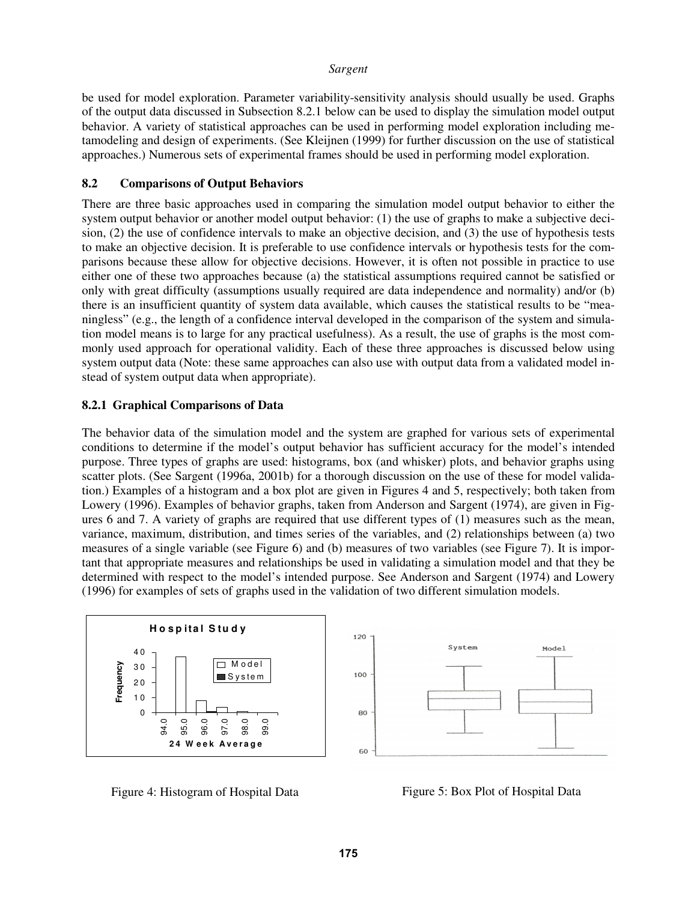be used for model exploration. Parameter variability-sensitivity analysis should usually be used. Graphs of the output data discussed in Subsection 8.2.1 below can be used to display the simulation model output behavior. A variety of statistical approaches can be used in performing model exploration including metamodeling and design of experiments. (See Kleijnen (1999) for further discussion on the use of statistical approaches.) Numerous sets of experimental frames should be used in performing model exploration.

## **8.2 Comparisons of Output Behaviors**

There are three basic approaches used in comparing the simulation model output behavior to either the system output behavior or another model output behavior: (1) the use of graphs to make a subjective decision, (2) the use of confidence intervals to make an objective decision, and (3) the use of hypothesis tests to make an objective decision. It is preferable to use confidence intervals or hypothesis tests for the comparisons because these allow for objective decisions. However, it is often not possible in practice to use either one of these two approaches because (a) the statistical assumptions required cannot be satisfied or only with great difficulty (assumptions usually required are data independence and normality) and/or (b) there is an insufficient quantity of system data available, which causes the statistical results to be "meaningless" (e.g., the length of a confidence interval developed in the comparison of the system and simulation model means is to large for any practical usefulness). As a result, the use of graphs is the most commonly used approach for operational validity. Each of these three approaches is discussed below using system output data (Note: these same approaches can also use with output data from a validated model instead of system output data when appropriate).

## **8.2.1 Graphical Comparisons of Data**

The behavior data of the simulation model and the system are graphed for various sets of experimental conditions to determine if the model's output behavior has sufficient accuracy for the model's intended purpose. Three types of graphs are used: histograms, box (and whisker) plots, and behavior graphs using scatter plots. (See Sargent (1996a, 2001b) for a thorough discussion on the use of these for model validation.) Examples of a histogram and a box plot are given in Figures 4 and 5, respectively; both taken from Lowery (1996). Examples of behavior graphs, taken from Anderson and Sargent (1974), are given in Figures 6 and 7. A variety of graphs are required that use different types of (1) measures such as the mean, variance, maximum, distribution, and times series of the variables, and (2) relationships between (a) two measures of a single variable (see Figure 6) and (b) measures of two variables (see Figure 7). It is important that appropriate measures and relationships be used in validating a simulation model and that they be determined with respect to the model's intended purpose. See Anderson and Sargent (1974) and Lowery (1996) for examples of sets of graphs used in the validation of two different simulation models.





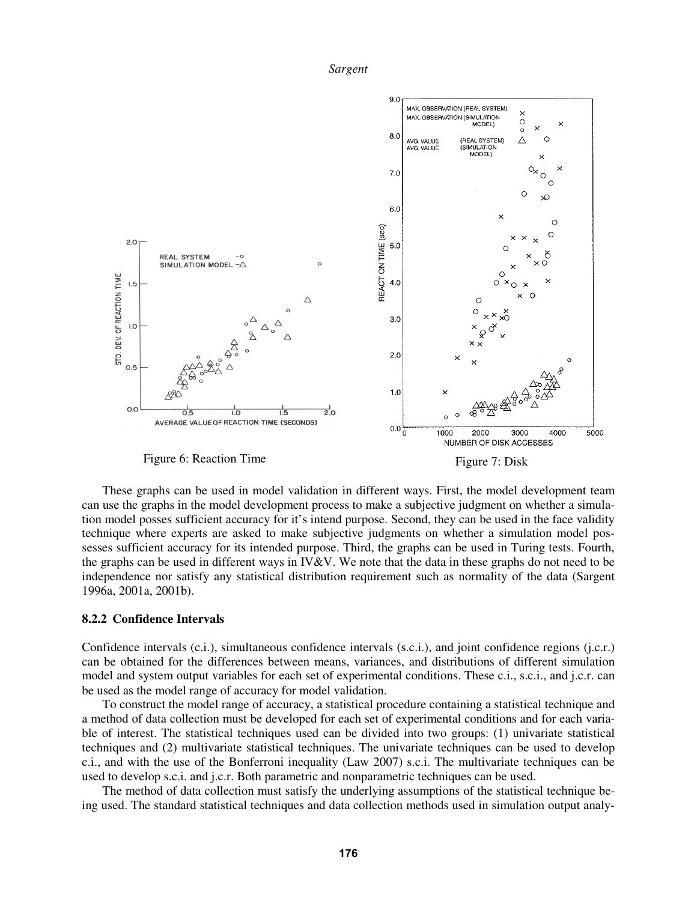



 These graphs can be used in model validation in different ways. First, the model development team can use the graphs in the model development process to make a subjective judgment on whether a simulation model posses sufficient accuracy for it's intend purpose. Second, they can be used in the face validity technique where experts are asked to make subjective judgments on whether a simulation model possesses sufficient accuracy for its intended purpose. Third, the graphs can be used in Turing tests. Fourth, the graphs can be used in different ways in IV&V. We note that the data in these graphs do not need to be independence nor satisfy any statistical distribution requirement such as normality of the data (Sargent 1996a, 2001a, 2001b).

## **8.2.2 Confidence Intervals**

Confidence intervals (c.i.), simultaneous confidence intervals (s.c.i.), and joint confidence regions (j.c.r.) can be obtained for the differences between means, variances, and distributions of different simulation model and system output variables for each set of experimental conditions. These c.i., s.c.i., and j.c.r. can be used as the model range of accuracy for model validation.

 To construct the model range of accuracy, a statistical procedure containing a statistical technique and a method of data collection must be developed for each set of experimental conditions and for each variable of interest. The statistical techniques used can be divided into two groups: (1) univariate statistical techniques and (2) multivariate statistical techniques. The univariate techniques can be used to develop c.i., and with the use of the Bonferroni inequality (Law 2007) s.c.i. The multivariate techniques can be used to develop s.c.i. and j.c.r. Both parametric and nonparametric techniques can be used.

The method of data collection must satisfy the underlying assumptions of the statistical technique being used. The standard statistical techniques and data collection methods used in simulation output analy-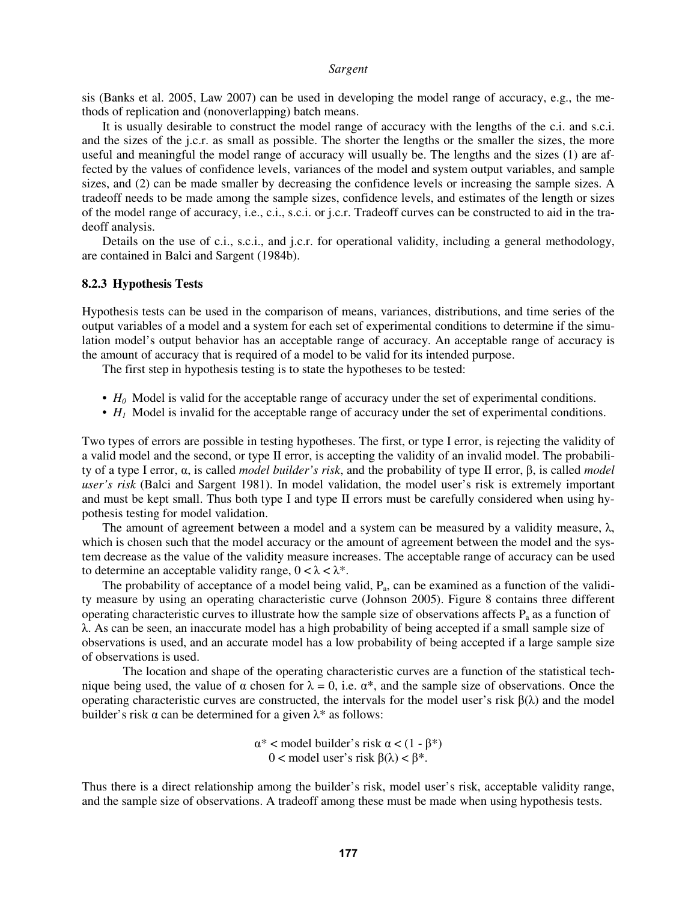sis (Banks et al. 2005, Law 2007) can be used in developing the model range of accuracy, e.g., the methods of replication and (nonoverlapping) batch means.

It is usually desirable to construct the model range of accuracy with the lengths of the c.i. and s.c.i. and the sizes of the j.c.r. as small as possible. The shorter the lengths or the smaller the sizes, the more useful and meaningful the model range of accuracy will usually be. The lengths and the sizes (1) are affected by the values of confidence levels, variances of the model and system output variables, and sample sizes, and (2) can be made smaller by decreasing the confidence levels or increasing the sample sizes. A tradeoff needs to be made among the sample sizes, confidence levels, and estimates of the length or sizes of the model range of accuracy, i.e., c.i., s.c.i. or j.c.r. Tradeoff curves can be constructed to aid in the tradeoff analysis.

 Details on the use of c.i., s.c.i., and j.c.r. for operational validity, including a general methodology, are contained in Balci and Sargent (1984b).

### **8.2.3 Hypothesis Tests**

Hypothesis tests can be used in the comparison of means, variances, distributions, and time series of the output variables of a model and a system for each set of experimental conditions to determine if the simulation model's output behavior has an acceptable range of accuracy. An acceptable range of accuracy is the amount of accuracy that is required of a model to be valid for its intended purpose.

The first step in hypothesis testing is to state the hypotheses to be tested:

- *H<sub>0</sub>* Model is valid for the acceptable range of accuracy under the set of experimental conditions.
- $H_1$  Model is invalid for the acceptable range of accuracy under the set of experimental conditions.

Two types of errors are possible in testing hypotheses. The first, or type I error, is rejecting the validity of a valid model and the second, or type II error, is accepting the validity of an invalid model. The probability of a type I error, α, is called *model builder's risk*, and the probability of type II error, β, is called *model user's risk* (Balci and Sargent 1981). In model validation, the model user's risk is extremely important and must be kept small. Thus both type I and type II errors must be carefully considered when using hypothesis testing for model validation.

The amount of agreement between a model and a system can be measured by a validity measure,  $\lambda$ , which is chosen such that the model accuracy or the amount of agreement between the model and the system decrease as the value of the validity measure increases. The acceptable range of accuracy can be used to determine an acceptable validity range,  $0 < \lambda < \lambda^*$ .

The probability of acceptance of a model being valid,  $P_a$ , can be examined as a function of the validity measure by using an operating characteristic curve (Johnson 2005). Figure 8 contains three different operating characteristic curves to illustrate how the sample size of observations affects  $P_a$  as a function of λ. As can be seen, an inaccurate model has a high probability of being accepted if a small sample size of observations is used, and an accurate model has a low probability of being accepted if a large sample size of observations is used.

 The location and shape of the operating characteristic curves are a function of the statistical technique being used, the value of α chosen for  $\lambda = 0$ , i.e.  $\alpha^*$ , and the sample size of observations. Once the operating characteristic curves are constructed, the intervals for the model user's risk  $\beta(\lambda)$  and the model builder's risk α can be determined for a given λ\* as follows:

> α\* < model builder's risk α < (1 - β\*) 0 < model user's risk β(λ) < β\*.

Thus there is a direct relationship among the builder's risk, model user's risk, acceptable validity range, and the sample size of observations. A tradeoff among these must be made when using hypothesis tests.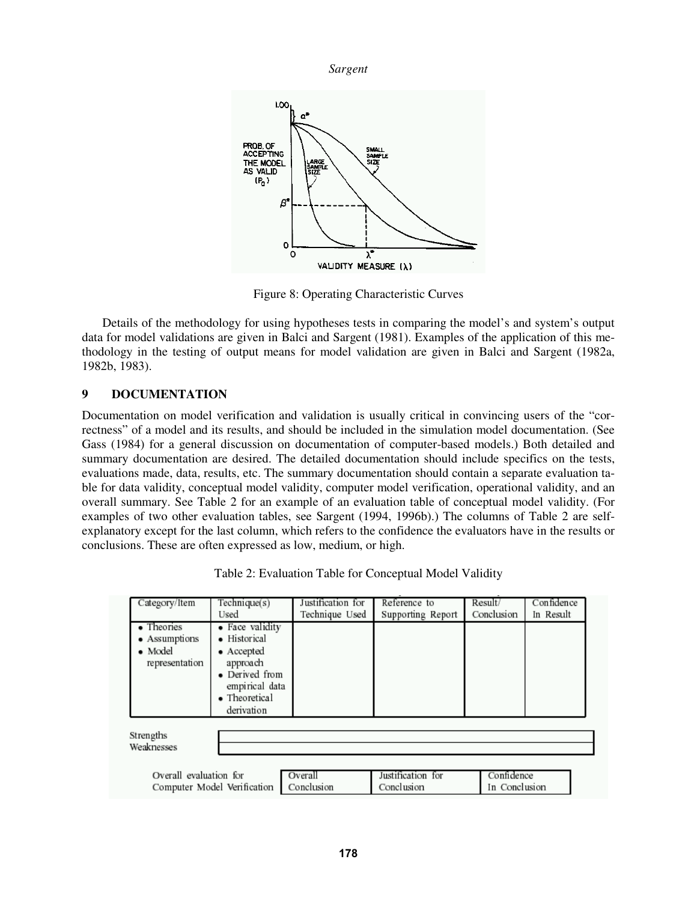



Figure 8: Operating Characteristic Curves

Details of the methodology for using hypotheses tests in comparing the model's and system's output data for model validations are given in Balci and Sargent (1981). Examples of the application of this methodology in the testing of output means for model validation are given in Balci and Sargent (1982a, 1982b, 1983).

# **9 DOCUMENTATION**

Documentation on model verification and validation is usually critical in convincing users of the "correctness" of a model and its results, and should be included in the simulation model documentation. (See Gass (1984) for a general discussion on documentation of computer-based models.) Both detailed and summary documentation are desired. The detailed documentation should include specifics on the tests, evaluations made, data, results, etc. The summary documentation should contain a separate evaluation table for data validity, conceptual model validity, computer model verification, operational validity, and an overall summary. See Table 2 for an example of an evaluation table of conceptual model validity. (For examples of two other evaluation tables, see Sargent (1994, 1996b).) The columns of Table 2 are selfexplanatory except for the last column, which refers to the confidence the evaluators have in the results or conclusions. These are often expressed as low, medium, or high.

| Category/Item                                                    | Technique(s)                                                                                                                 | Justification for     | Reference to                    | Result/                     | Confidence |
|------------------------------------------------------------------|------------------------------------------------------------------------------------------------------------------------------|-----------------------|---------------------------------|-----------------------------|------------|
|                                                                  | Used                                                                                                                         | Technique Used        | Supporting Report               | Conclusion                  | In Result  |
| • Theories<br>• Assumptions<br>$\bullet$ Model<br>representation | • Face validity<br>• Historical<br>• Accepted<br>approach<br>• Derived from<br>empirical data<br>• Theoretical<br>derivation |                       |                                 |                             |            |
| Strengths<br>Weaknesses                                          |                                                                                                                              |                       |                                 |                             |            |
| Overall evaluation for<br>Computer Model Verification            |                                                                                                                              | Overall<br>Conclusion | Justification for<br>Conclusion | Confidence<br>In Conclusion |            |

Table 2: Evaluation Table for Conceptual Model Validity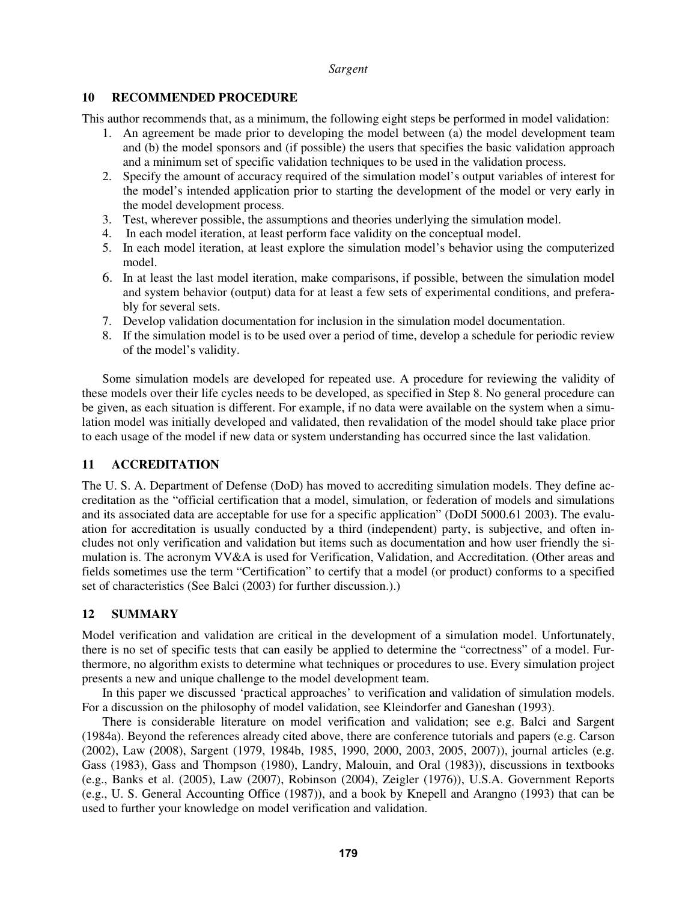# **10 RECOMMENDED PROCEDURE**

This author recommends that, as a minimum, the following eight steps be performed in model validation:

- 1. An agreement be made prior to developing the model between (a) the model development team and (b) the model sponsors and (if possible) the users that specifies the basic validation approach and a minimum set of specific validation techniques to be used in the validation process.
- 2. Specify the amount of accuracy required of the simulation model's output variables of interest for the model's intended application prior to starting the development of the model or very early in the model development process.
- 3. Test, wherever possible, the assumptions and theories underlying the simulation model.
- 4. In each model iteration, at least perform face validity on the conceptual model.
- 5. In each model iteration, at least explore the simulation model's behavior using the computerized model.
- 6. In at least the last model iteration, make comparisons, if possible, between the simulation model and system behavior (output) data for at least a few sets of experimental conditions, and preferably for several sets.
- 7. Develop validation documentation for inclusion in the simulation model documentation.
- 8. If the simulation model is to be used over a period of time, develop a schedule for periodic review of the model's validity.

Some simulation models are developed for repeated use. A procedure for reviewing the validity of these models over their life cycles needs to be developed, as specified in Step 8. No general procedure can be given, as each situation is different. For example, if no data were available on the system when a simulation model was initially developed and validated, then revalidation of the model should take place prior to each usage of the model if new data or system understanding has occurred since the last validation.

# **11 ACCREDITATION**

The U. S. A. Department of Defense (DoD) has moved to accrediting simulation models. They define accreditation as the "official certification that a model, simulation, or federation of models and simulations and its associated data are acceptable for use for a specific application" (DoDI 5000.61 2003). The evaluation for accreditation is usually conducted by a third (independent) party, is subjective, and often includes not only verification and validation but items such as documentation and how user friendly the simulation is. The acronym VV&A is used for Verification, Validation, and Accreditation. (Other areas and fields sometimes use the term "Certification" to certify that a model (or product) conforms to a specified set of characteristics (See Balci (2003) for further discussion.).)

# **12 SUMMARY**

Model verification and validation are critical in the development of a simulation model. Unfortunately, there is no set of specific tests that can easily be applied to determine the "correctness" of a model. Furthermore, no algorithm exists to determine what techniques or procedures to use. Every simulation project presents a new and unique challenge to the model development team.

In this paper we discussed 'practical approaches' to verification and validation of simulation models. For a discussion on the philosophy of model validation, see Kleindorfer and Ganeshan (1993).

 There is considerable literature on model verification and validation; see e.g. Balci and Sargent (1984a). Beyond the references already cited above, there are conference tutorials and papers (e.g. Carson (2002), Law (2008), Sargent (1979, 1984b, 1985, 1990, 2000, 2003, 2005, 2007)), journal articles (e.g. Gass (1983), Gass and Thompson (1980), Landry, Malouin, and Oral (1983)), discussions in textbooks (e.g., Banks et al. (2005), Law (2007), Robinson (2004), Zeigler (1976)), U.S.A. Government Reports (e.g., U. S. General Accounting Office (1987)), and a book by Knepell and Arangno (1993) that can be used to further your knowledge on model verification and validation.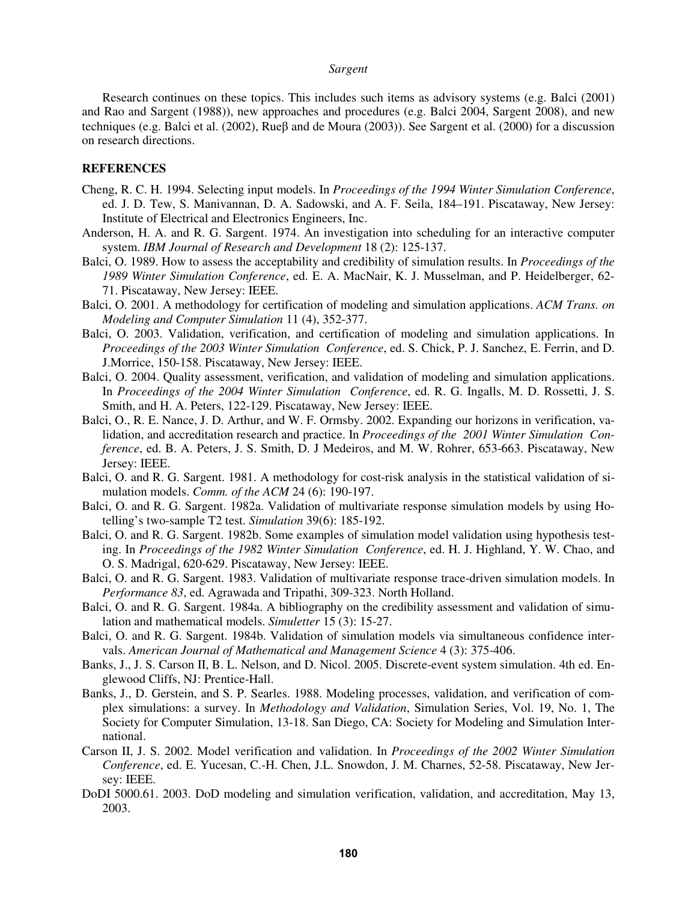Research continues on these topics. This includes such items as advisory systems (e.g. Balci (2001) and Rao and Sargent (1988)), new approaches and procedures (e.g. Balci 2004, Sargent 2008), and new techniques (e.g. Balci et al. (2002), Rueβ and de Moura (2003)). See Sargent et al. (2000) for a discussion on research directions.

## **REFERENCES**

- Cheng, R. C. H. 1994. Selecting input models. In *Proceedings of the 1994 Winter Simulation Conference*, ed. J. D. Tew, S. Manivannan, D. A. Sadowski, and A. F. Seila, 184–191. Piscataway, New Jersey: Institute of Electrical and Electronics Engineers, Inc.
- Anderson, H. A. and R. G. Sargent. 1974. An investigation into scheduling for an interactive computer system. *IBM Journal of Research and Development* 18 (2): 125-137.
- Balci, O. 1989. How to assess the acceptability and credibility of simulation results. In *Proceedings of the 1989 Winter Simulation Conference*, ed. E. A. MacNair, K. J. Musselman, and P. Heidelberger, 62- 71. Piscataway, New Jersey: IEEE.
- Balci, O. 2001. A methodology for certification of modeling and simulation applications. *ACM Trans. on Modeling and Computer Simulation* 11 (4), 352-377.
- Balci, O. 2003. Validation, verification, and certification of modeling and simulation applications. In *Proceedings of the 2003 Winter Simulation Conference*, ed. S. Chick, P. J. Sanchez, E. Ferrin, and D. J.Morrice, 150-158. Piscataway, New Jersey: IEEE.
- Balci, O. 2004. Quality assessment, verification, and validation of modeling and simulation applications. In *Proceedings of the 2004 Winter Simulation Conference*, ed. R. G. Ingalls, M. D. Rossetti, J. S. Smith, and H. A. Peters, 122-129. Piscataway, New Jersey: IEEE.
- Balci, O., R. E. Nance, J. D. Arthur, and W. F. Ormsby. 2002. Expanding our horizons in verification, validation, and accreditation research and practice. In *Proceedings of the 2001 Winter Simulation Conference*, ed. B. A. Peters, J. S. Smith, D. J Medeiros, and M. W. Rohrer, 653-663. Piscataway, New Jersey: IEEE.
- Balci, O. and R. G. Sargent. 1981. A methodology for cost-risk analysis in the statistical validation of simulation models. *Comm. of the ACM* 24 (6): 190-197.
- Balci, O. and R. G. Sargent. 1982a. Validation of multivariate response simulation models by using Hotelling's two-sample T2 test. *Simulation* 39(6): 185-192.
- Balci, O. and R. G. Sargent. 1982b. Some examples of simulation model validation using hypothesis testing. In *Proceedings of the 1982 Winter Simulation Conference*, ed. H. J. Highland, Y. W. Chao, and O. S. Madrigal, 620-629. Piscataway, New Jersey: IEEE.
- Balci, O. and R. G. Sargent. 1983. Validation of multivariate response trace-driven simulation models. In *Performance 83*, ed. Agrawada and Tripathi, 309-323. North Holland.
- Balci, O. and R. G. Sargent. 1984a. A bibliography on the credibility assessment and validation of simulation and mathematical models. *Simuletter* 15 (3): 15-27.
- Balci, O. and R. G. Sargent. 1984b. Validation of simulation models via simultaneous confidence intervals. *American Journal of Mathematical and Management Science* 4 (3): 375-406.
- Banks, J., J. S. Carson II, B. L. Nelson, and D. Nicol. 2005. Discrete-event system simulation. 4th ed. Englewood Cliffs, NJ: Prentice-Hall.
- Banks, J., D. Gerstein, and S. P. Searles. 1988. Modeling processes, validation, and verification of complex simulations: a survey. In *Methodology and Validation*, Simulation Series, Vol. 19, No. 1, The Society for Computer Simulation, 13-18. San Diego, CA: Society for Modeling and Simulation International.
- Carson II, J. S. 2002. Model verification and validation. In *Proceedings of the 2002 Winter Simulation Conference*, ed. E. Yucesan, C.-H. Chen, J.L. Snowdon, J. M. Charnes, 52-58. Piscataway, New Jersey: IEEE.
- DoDI 5000.61. 2003. DoD modeling and simulation verification, validation, and accreditation, May 13, 2003.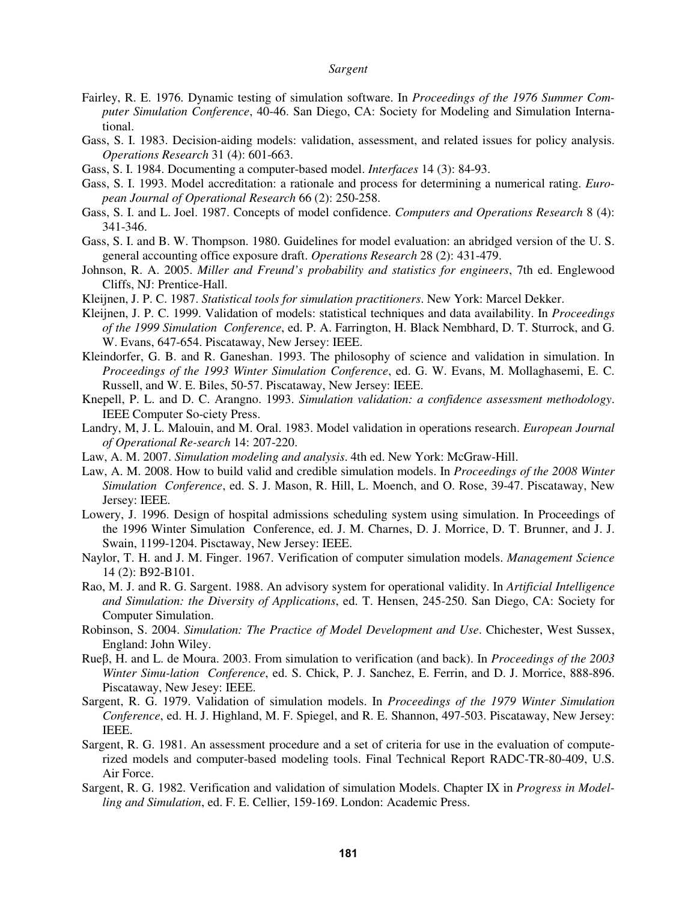- Fairley, R. E. 1976. Dynamic testing of simulation software. In *Proceedings of the 1976 Summer Computer Simulation Conference*, 40-46. San Diego, CA: Society for Modeling and Simulation International.
- Gass, S. I. 1983. Decision-aiding models: validation, assessment, and related issues for policy analysis. *Operations Research* 31 (4): 601-663.
- Gass, S. I. 1984. Documenting a computer-based model. *Interfaces* 14 (3): 84-93.
- Gass, S. I. 1993. Model accreditation: a rationale and process for determining a numerical rating. *European Journal of Operational Research* 66 (2): 250-258.
- Gass, S. I. and L. Joel. 1987. Concepts of model confidence. *Computers and Operations Research* 8 (4): 341-346.
- Gass, S. I. and B. W. Thompson. 1980. Guidelines for model evaluation: an abridged version of the U. S. general accounting office exposure draft. *Operations Research* 28 (2): 431-479.
- Johnson, R. A. 2005. *Miller and Freund's probability and statistics for engineers*, 7th ed. Englewood Cliffs, NJ: Prentice-Hall.
- Kleijnen, J. P. C. 1987. *Statistical tools for simulation practitioners*. New York: Marcel Dekker.
- Kleijnen, J. P. C. 1999. Validation of models: statistical techniques and data availability. In *Proceedings of the 1999 Simulation Conference*, ed. P. A. Farrington, H. Black Nembhard, D. T. Sturrock, and G. W. Evans, 647-654. Piscataway, New Jersey: IEEE.
- Kleindorfer, G. B. and R. Ganeshan. 1993. The philosophy of science and validation in simulation. In *Proceedings of the 1993 Winter Simulation Conference*, ed. G. W. Evans, M. Mollaghasemi, E. C. Russell, and W. E. Biles, 50-57. Piscataway, New Jersey: IEEE.
- Knepell, P. L. and D. C. Arangno. 1993. *Simulation validation: a confidence assessment methodology*. IEEE Computer So-ciety Press.
- Landry, M, J. L. Malouin, and M. Oral. 1983. Model validation in operations research. *European Journal of Operational Re-search* 14: 207-220.
- Law, A. M. 2007. *Simulation modeling and analysis*. 4th ed. New York: McGraw-Hill.
- Law, A. M. 2008. How to build valid and credible simulation models. In *Proceedings of the 2008 Winter Simulation Conference*, ed. S. J. Mason, R. Hill, L. Moench, and O. Rose, 39-47. Piscataway, New Jersey: IEEE.
- Lowery, J. 1996. Design of hospital admissions scheduling system using simulation. In Proceedings of the 1996 Winter Simulation Conference, ed. J. M. Charnes, D. J. Morrice, D. T. Brunner, and J. J. Swain, 1199-1204. Pisctaway, New Jersey: IEEE.
- Naylor, T. H. and J. M. Finger. 1967. Verification of computer simulation models. *Management Science*  14 (2): B92-B101.
- Rao, M. J. and R. G. Sargent. 1988. An advisory system for operational validity. In *Artificial Intelligence and Simulation: the Diversity of Applications*, ed. T. Hensen, 245-250. San Diego, CA: Society for Computer Simulation.
- Robinson, S. 2004. *Simulation: The Practice of Model Development and Use*. Chichester, West Sussex, England: John Wiley.
- Rueβ, H. and L. de Moura. 2003. From simulation to verification (and back). In *Proceedings of the 2003 Winter Simu-lation Conference*, ed. S. Chick, P. J. Sanchez, E. Ferrin, and D. J. Morrice, 888-896. Piscataway, New Jesey: IEEE.
- Sargent, R. G. 1979. Validation of simulation models. In *Proceedings of the 1979 Winter Simulation Conference*, ed. H. J. Highland, M. F. Spiegel, and R. E. Shannon, 497-503. Piscataway, New Jersey: IEEE.
- Sargent, R. G. 1981. An assessment procedure and a set of criteria for use in the evaluation of computerized models and computer-based modeling tools. Final Technical Report RADC-TR-80-409, U.S. Air Force.
- Sargent, R. G. 1982. Verification and validation of simulation Models. Chapter IX in *Progress in Modelling and Simulation*, ed. F. E. Cellier, 159-169. London: Academic Press.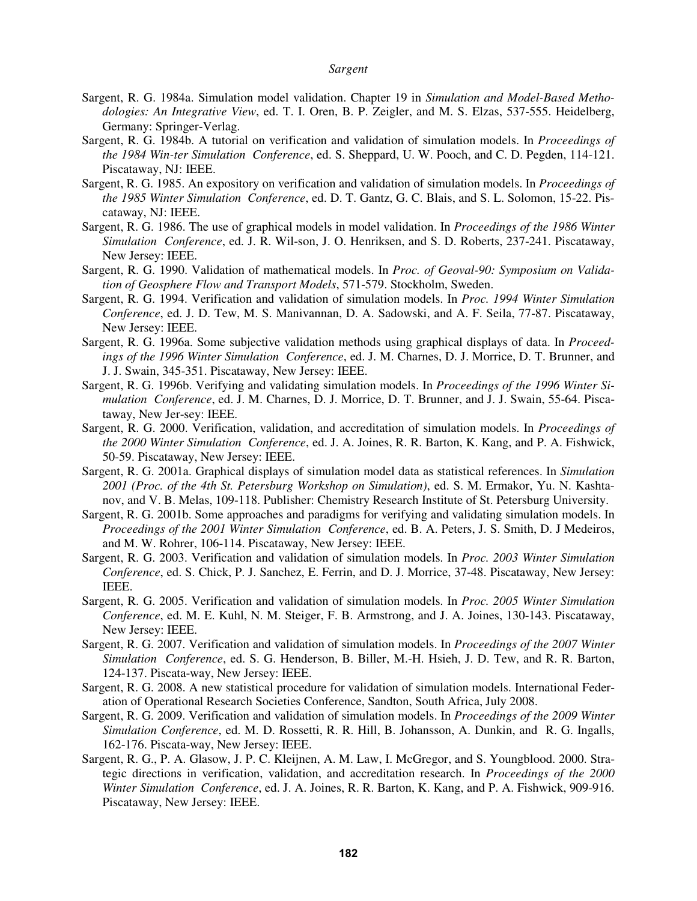- Sargent, R. G. 1984a. Simulation model validation. Chapter 19 in *Simulation and Model-Based Methodologies: An Integrative View*, ed. T. I. Oren, B. P. Zeigler, and M. S. Elzas, 537-555. Heidelberg, Germany: Springer-Verlag.
- Sargent, R. G. 1984b. A tutorial on verification and validation of simulation models. In *Proceedings of the 1984 Win-ter Simulation Conference*, ed. S. Sheppard, U. W. Pooch, and C. D. Pegden, 114-121. Piscataway, NJ: IEEE.
- Sargent, R. G. 1985. An expository on verification and validation of simulation models. In *Proceedings of the 1985 Winter Simulation Conference*, ed. D. T. Gantz, G. C. Blais, and S. L. Solomon, 15-22. Piscataway, NJ: IEEE.
- Sargent, R. G. 1986. The use of graphical models in model validation. In *Proceedings of the 1986 Winter Simulation Conference*, ed. J. R. Wil-son, J. O. Henriksen, and S. D. Roberts, 237-241. Piscataway, New Jersey: IEEE.
- Sargent, R. G. 1990. Validation of mathematical models. In *Proc. of Geoval-90: Symposium on Validation of Geosphere Flow and Transport Models*, 571-579. Stockholm, Sweden.
- Sargent, R. G. 1994. Verification and validation of simulation models. In *Proc. 1994 Winter Simulation Conference*, ed. J. D. Tew, M. S. Manivannan, D. A. Sadowski, and A. F. Seila, 77-87. Piscataway, New Jersey: IEEE.
- Sargent, R. G. 1996a. Some subjective validation methods using graphical displays of data. In *Proceedings of the 1996 Winter Simulation Conference*, ed. J. M. Charnes, D. J. Morrice, D. T. Brunner, and J. J. Swain, 345-351. Piscataway, New Jersey: IEEE.
- Sargent, R. G. 1996b. Verifying and validating simulation models. In *Proceedings of the 1996 Winter Simulation Conference*, ed. J. M. Charnes, D. J. Morrice, D. T. Brunner, and J. J. Swain, 55-64. Piscataway, New Jer-sey: IEEE.
- Sargent, R. G. 2000. Verification, validation, and accreditation of simulation models. In *Proceedings of the 2000 Winter Simulation Conference*, ed. J. A. Joines, R. R. Barton, K. Kang, and P. A. Fishwick, 50-59. Piscataway, New Jersey: IEEE.
- Sargent, R. G. 2001a. Graphical displays of simulation model data as statistical references. In *Simulation 2001 (Proc. of the 4th St. Petersburg Workshop on Simulation)*, ed. S. M. Ermakor, Yu. N. Kashtanov, and V. B. Melas, 109-118. Publisher: Chemistry Research Institute of St. Petersburg University.
- Sargent, R. G. 2001b. Some approaches and paradigms for verifying and validating simulation models. In *Proceedings of the 2001 Winter Simulation Conference*, ed. B. A. Peters, J. S. Smith, D. J Medeiros, and M. W. Rohrer, 106-114. Piscataway, New Jersey: IEEE.
- Sargent, R. G. 2003. Verification and validation of simulation models. In *Proc. 2003 Winter Simulation Conference*, ed. S. Chick, P. J. Sanchez, E. Ferrin, and D. J. Morrice, 37-48. Piscataway, New Jersey: IEEE.
- Sargent, R. G. 2005. Verification and validation of simulation models. In *Proc. 2005 Winter Simulation Conference*, ed. M. E. Kuhl, N. M. Steiger, F. B. Armstrong, and J. A. Joines, 130-143. Piscataway, New Jersey: IEEE.
- Sargent, R. G. 2007. Verification and validation of simulation models. In *Proceedings of the 2007 Winter Simulation Conference*, ed. S. G. Henderson, B. Biller, M.-H. Hsieh, J. D. Tew, and R. R. Barton, 124-137. Piscata-way, New Jersey: IEEE.
- Sargent, R. G. 2008. A new statistical procedure for validation of simulation models. International Federation of Operational Research Societies Conference, Sandton, South Africa, July 2008.
- Sargent, R. G. 2009. Verification and validation of simulation models. In *Proceedings of the 2009 Winter Simulation Conference*, ed. M. D. Rossetti, R. R. Hill, B. Johansson, A. Dunkin, and R. G. Ingalls, 162-176. Piscata-way, New Jersey: IEEE.
- Sargent, R. G., P. A. Glasow, J. P. C. Kleijnen, A. M. Law, I. McGregor, and S. Youngblood. 2000. Strategic directions in verification, validation, and accreditation research. In *Proceedings of the 2000 Winter Simulation Conference*, ed. J. A. Joines, R. R. Barton, K. Kang, and P. A. Fishwick, 909-916. Piscataway, New Jersey: IEEE.